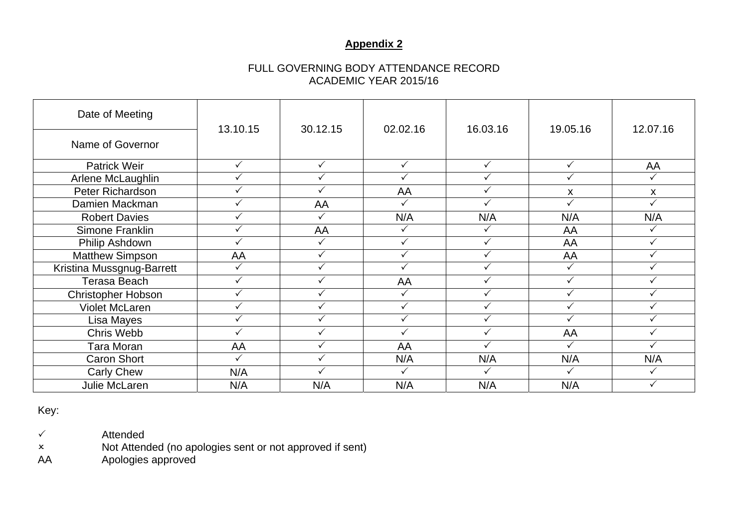## **Appendix 2**

## FULL GOVERNING BODY ATTENDANCE RECORD ACADEMIC YEAR 2015/16

| Date of Meeting           | 13.10.15     | 30.12.15     | 02.02.16     | 16.03.16     | 19.05.16     | 12.07.16     |
|---------------------------|--------------|--------------|--------------|--------------|--------------|--------------|
| Name of Governor          |              |              |              |              |              |              |
| <b>Patrick Weir</b>       | $\checkmark$ | $\checkmark$ | $\checkmark$ | $\checkmark$ | $\checkmark$ | AA           |
| Arlene McLaughlin         |              | $\checkmark$ |              | ✓            | $\checkmark$ | $\checkmark$ |
| Peter Richardson          |              |              | AA           |              | X            | X            |
| Damien Mackman            |              | AA           |              |              | ✓            |              |
| <b>Robert Davies</b>      |              | $\checkmark$ | N/A          | N/A          | N/A          | N/A          |
| Simone Franklin           |              | AA           |              |              | AA           |              |
| Philip Ashdown            |              | ✓            |              |              | AA           |              |
| <b>Matthew Simpson</b>    | AA           | $\checkmark$ |              |              | AA           |              |
| Kristina Mussgnug-Barrett |              | $\checkmark$ |              |              | ✓            |              |
| Terasa Beach              |              | $\checkmark$ | AA           |              | $\checkmark$ |              |
| <b>Christopher Hobson</b> |              | ✓            |              |              |              |              |
| <b>Violet McLaren</b>     |              | $\checkmark$ | $\checkmark$ |              |              |              |
| Lisa Mayes                | ✓            | $\checkmark$ | ✓            |              | ✓            | ✓            |
| Chris Webb                |              | $\checkmark$ |              |              | AA           |              |
| Tara Moran                | AA           | $\checkmark$ | AA           |              | ✓            |              |
| <b>Caron Short</b>        | ✓            | $\checkmark$ | N/A          | N/A          | N/A          | N/A          |
| <b>Carly Chew</b>         | N/A          | $\checkmark$ |              |              |              | ✓            |
| Julie McLaren             | N/A          | N/A          | N/A          | N/A          | N/A          |              |

Key:

Attended

Not Attended (no apologies sent or not approved if sent)

AA Apologies approved